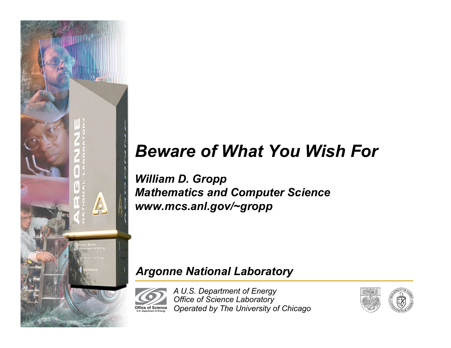

# *Beware of What You Wish For*

*William D. Gropp Mathematics and Computer Science www.mcs.anl.gov/~gropp* 

#### *Argonne National Laboratory*

*A U.S. Department of Energy Office of Science Laboratory Operated by The University of Chicago*  **Office of Science U.S. Department of Energy**

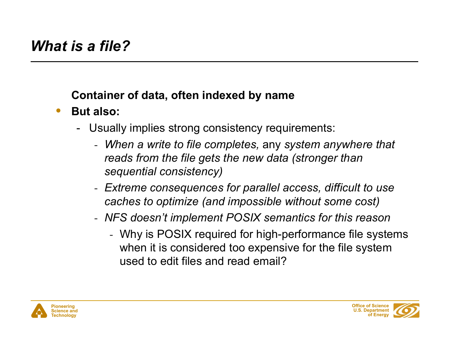### **Container of data, often indexed by name**

- **But also:** 
	- Usually implies strong consistency requirements:
		- *When a write to file completes,* any *system anywhere that reads from the file gets the new data (stronger than sequential consistency)*
		- *Extreme consequences for parallel access, difficult to use caches to optimize (and impossible without some cost)*
		- *NFS doesn't implement POSIX semantics for this reason* 
			- Why is POSIX required for high-performance file systems when it is considered too expensive for the file system used to edit files and read email?



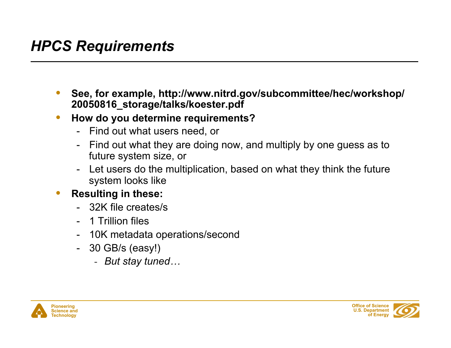### *HPCS Requirements*

- **See, for example, http://www.nitrd.gov/subcommittee/hec/workshop/ 20050816\_storage/talks/koester.pdf**
- **How do you determine requirements?** 
	- Find out what users need, or
	- Find out what they are doing now, and multiply by one guess as to future system size, or
	- Let users do the multiplication, based on what they think the future system looks like
- **Resulting in these:** 
	- 32K file creates/s
	- 1 Trillion files
	- 10K metadata operations/second
	- 30 GB/s (easy!)
		- *But stay tuned…*



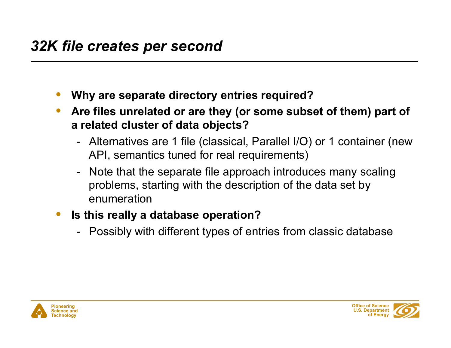- **Why are separate directory entries required?**
- **Are files unrelated or are they (or some subset of them) part of a related cluster of data objects?** 
	- Alternatives are 1 file (classical, Parallel I/O) or 1 container (new API, semantics tuned for real requirements)
	- Note that the separate file approach introduces many scaling problems, starting with the description of the data set by enumeration
- **Is this really a database operation?** 
	- Possibly with different types of entries from classic database



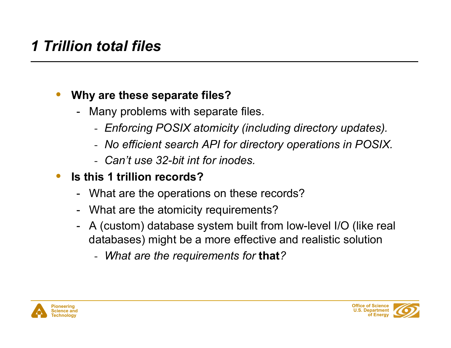## *1 Trillion total files*

### • **Why are these separate files?**

- Many problems with separate files.
	- *Enforcing POSIX atomicity (including directory updates).*
	- *No efficient search API for directory operations in POSIX.*
	- *Can't use 32-bit int for inodes.*
- **Is this 1 trillion records?** 
	- What are the operations on these records?
	- What are the atomicity requirements?
	- A (custom) database system built from low-level I/O (like real databases) might be a more effective and realistic solution
		- *What are the requirements for* **that***?*



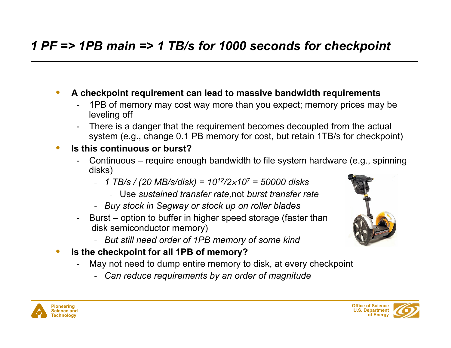### *1 PF => 1PB main => 1 TB/s for 1000 seconds for checkpoint*

- **A checkpoint requirement can lead to massive bandwidth requirements** 
	- 1PB of memory may cost way more than you expect; memory prices may be leveling off
	- There is a danger that the requirement becomes decoupled from the actual system (e.g., change 0.1 PB memory for cost, but retain 1TB/s for checkpoint)

#### • **Is this continuous or burst?**

- Continuous require enough bandwidth to file system hardware (e.g., spinning disks)
	- *1 TB/s / (20 MB/s/disk) = 1012/2*×*107 = 50000 disks* 
		- Use *sustained transfer rate,*not *burst transfer rate*
	- *Buy stock in Segway or stock up on roller blades*
- Burst option to buffer in higher speed storage (faster than disk semiconductor memory)
	- *But still need order of 1PB memory of some kind*
- **Is the checkpoint for all 1PB of memory?** 
	- May not need to dump entire memory to disk, at every checkpoint
		- *Can reduce requirements by an order of magnitude*